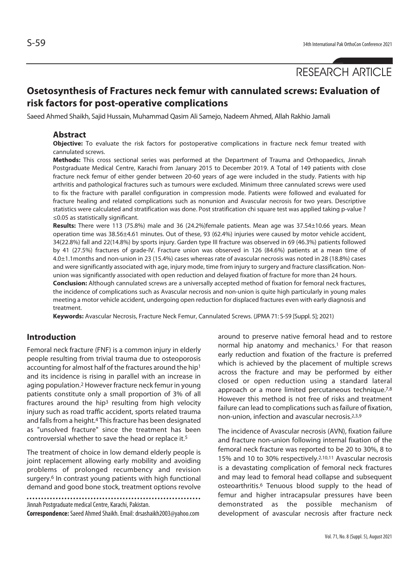# **Osetosynthesis of Fractures neck femur with cannulated screws: Evaluation of risk factors for post-operative complications**

Saeed Ahmed Shaikh, Sajid Hussain, Muhammad Qasim Ali Samejo, Nadeem Ahmed, Allah Rakhio Jamali

# **Abstract**

**Objective:** To evaluate the risk factors for postoperative complications in fracture neck femur treated with cannulated screws.

**Methods:** This cross sectional series was performed at the Department of Trauma and Orthopaedics, Jinnah Postgraduate Medical Centre, Karachi from January 2015 to December 2019. A Total of 149 patients with close fracture neck femur of either gender between 20-60 years of age were included in the study. Patients with hip arthritis and pathological fractures such as tumours were excluded. Minimum three cannulated screws were used to fix the fracture with parallel configuration in compression mode. Patients were followed and evaluated for fracture healing and related complications such as nonunion and Avascular necrosis for two years. Descriptive statistics were calculated and stratification was done. Post stratification chi square test was applied taking p-value ? ≤0.05 as statistically significant.

**Results:** There were 113 (75.8%) male and 36 (24.2%)female patients. Mean age was 37.54±10.66 years. Mean operation time was 38.56±4.61 minutes. Out of these, 93 (62.4%) injuries were caused by motor vehicle accident, 34(22.8%) fall and 22(14.8%) by sports injury. Garden type III fracture was observed in 69 (46.3%) patients followed by 41 (27.5%) fractures of grade-IV. Fracture union was observed in 126 (84.6%) patients at a mean time of 4.0±1.1months and non-union in 23 (15.4%) cases whereas rate of avascular necrosis was noted in 28 (18.8%) cases and were significantly associated with age, injury mode, time from injury to surgery and fracture classification. Nonunion was significantly associated with open reduction and delayed fixation of fracture for more than 24 hours.

**Conclusion:** Although cannulated screws are a universally accepted method of fixation for femoral neck fractures, the incidence of complications such as Avascular necrosis and non-union is quite high particularly in young males meeting a motor vehicle accident, undergoing open reduction for displaced fractures even with early diagnosis and treatment.

**Keywords:** Avascular Necrosis, Fracture Neck Femur, Cannulated Screws. (JPMA 71: S-59 [Suppl. 5]; 2021)

# **Introduction**

Femoral neck fracture (FNF) is a common injury in elderly people resulting from trivial trauma due to osteoporosis accounting for almost half of the fractures around the hip<sup>1</sup> and its incidence is rising in parallel with an increase in aging population.2 However fracture neck femur in young patients constitute only a small proportion of 3% of all fractures around the hip<sup>3</sup> resulting from high velocity injury such as road traffic accident, sports related trauma and falls from a height.<sup>4</sup> This fracture has been designated as "unsolved fracture" since the treatment has been controversial whether to save the head or replace it.5

The treatment of choice in low demand elderly people is joint replacement allowing early mobility and avoiding problems of prolonged recumbency and revision surgery.<sup>6</sup> In contrast young patients with high functional demand and good bone stock, treatment options revolve

Jinnah Postgraduate medical Centre, Karachi, Pakistan.

**Correspondence:** Saeed Ahmed Shaikh. Email: drsashaikh2003@yahoo.com

around to preserve native femoral head and to restore normal hip anatomy and mechanics.<sup>1</sup> For that reason early reduction and fixation of the fracture is preferred which is achieved by the placement of multiple screws across the fracture and may be performed by either closed or open reduction using a standard lateral approach or a more limited percutaneous technique.7,8 However this method is not free of risks and treatment failure can lead to complications such as failure of fixation, non-union, infection and avascular necrosis.2,3,9

The incidence of Avascular necrosis (AVN), fixation failure and fracture non-union following internal fixation of the femoral neck fracture was reported to be 20 to 30%, 8 to 15% and 10 to 30% respectively.2,10,11 Avascular necrosis is a devastating complication of femoral neck fractures and may lead to femoral head collapse and subsequent osteoarthritis.6 Tenuous blood supply to the head of femur and higher intracapsular pressures have been demonstrated as the possible mechanism of development of avascular necrosis after fracture neck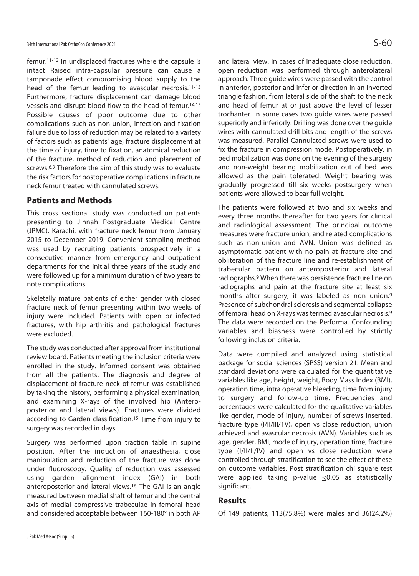femur.11-13 In undisplaced fractures where the capsule is intact Raised intra-capsular pressure can cause a tamponade effect compromising blood supply to the head of the femur leading to avascular necrosis.11-13 Furthermore, fracture displacement can damage blood vessels and disrupt blood flow to the head of femur.14,15 Possible causes of poor outcome due to other complications such as non-union, infection and fixation failure due to loss of reduction may be related to a variety of factors such as patients' age, fracture displacement at the time of injury, time to fixation, anatomical reduction of the fracture, method of reduction and placement of screws.6,9 Therefore the aim of this study was to evaluate the risk factors for postoperative complications in fracture neck femur treated with cannulated screws.

# **Patients and Methods**

This cross sectional study was conducted on patients presenting to Jinnah Postgraduate Medical Centre (JPMC), Karachi, with fracture neck femur from January 2015 to December 2019. Convenient sampling method was used by recruiting patients prospectively in a consecutive manner from emergency and outpatient departments for the initial three years of the study and were followed up for a minimum duration of two years to note complications.

Skeletally mature patients of either gender with closed fracture neck of femur presenting within two weeks of injury were included. Patients with open or infected fractures, with hip arthritis and pathological fractures were excluded.

The study was conducted after approval from institutional review board. Patients meeting the inclusion criteria were enrolled in the study. Informed consent was obtained from all the patients. The diagnosis and degree of displacement of fracture neck of femur was established by taking the history, performing a physical examination, and examining X-rays of the involved hip (Anteroposterior and lateral views). Fractures were divided according to Garden classification.15 Time from injury to surgery was recorded in days.

Surgery was performed upon traction table in supine position. After the induction of anaesthesia, close manipulation and reduction of the fracture was done under fluoroscopy. Quality of reduction was assessed using garden alignment index (GAI) in both anteroposterior and lateral views.16 The GAI is an angle measured between medial shaft of femur and the central axis of medial compressive trabeculae in femoral head and considered acceptable between 160-180° in both AP and lateral view. In cases of inadequate close reduction, open reduction was performed through anterolateral approach. Three guide wires were passed with the control in anterior, posterior and inferior direction in an inverted triangle fashion, from lateral side of the shaft to the neck and head of femur at or just above the level of lesser trochanter. In some cases two guide wires were passed superiorly and inferiorly. Drilling was done over the guide wires with cannulated drill bits and length of the screws was measured. Parallel Cannulated screws were used to fix the fracture in compression mode. Postoperatively, in bed mobilization was done on the evening of the surgery and non-weight bearing mobilization out of bed was allowed as the pain tolerated. Weight bearing was gradually progressed till six weeks postsurgery when patients were allowed to bear full weight.

The patients were followed at two and six weeks and every three months thereafter for two years for clinical and radiological assessment. The principal outcome measures were fracture union, and related complications such as non-union and AVN. Union was defined as asymptomatic patient with no pain at fracture site and obliteration of the fracture line and re-establishment of trabecular pattern on anteroposterior and lateral radiographs.9 When there was persistence fracture line on radiographs and pain at the fracture site at least six months after surgery, it was labeled as non union.<sup>9</sup> Presence of subchondral sclerosis and segmental collapse of femoral head on X-rays was termed avascular necrosis.9 The data were recorded on the Performa. Confounding variables and biasness were controlled by strictly following inclusion criteria.

Data were compiled and analyzed using statistical package for social sciences (SPSS) version 21. Mean and standard deviations were calculated for the quantitative variables like age, height, weight, Body Mass Index (BMI), operation time, intra operative bleeding, time from injury to surgery and follow-up time. Frequencies and percentages were calculated for the qualitative variables like gender, mode of injury, number of screws inserted, fracture type (I/II/III/1V), open vs close reduction, union achieved and avascular necrosis (AVN). Variables such as age, gender, BMI, mode of injury, operation time, fracture type (I/II/II/IV) and open vs close reduction were controlled through stratification to see the effect of these on outcome variables. Post stratification chi square test were applied taking p-value  $\leq 0.05$  as statistically significant.

## **Results**

Of 149 patients, 113(75.8%) were males and 36(24.2%)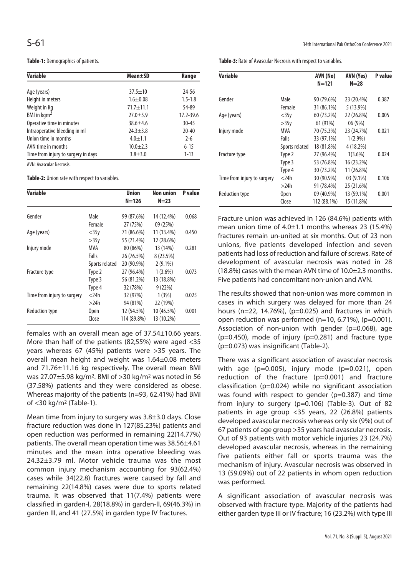**Table-1:** Demographics of patients.

| <b>Variable</b>                     | Mean±SD        | Range         |
|-------------------------------------|----------------|---------------|
|                                     |                |               |
| Age (years)                         | $37.5 \pm 10$  | 24-56         |
| Height in meters                    | $1.6 + 0.08$   | $1.5 - 1.8$   |
| Weight in Kg                        | $71.7 + 11.1$  | 54-89         |
| BMI in kgm <sup>2</sup>             | $27.0 + 5.9$   | $17.2 - 39.6$ |
| Operative time in minutes           | $38.6 + 4.6$   | $30 - 45$     |
| Intraoperative bleeding in ml       | $24.3 \pm 3.8$ | $20 - 40$     |
| Union time in months                | $4.0 + 1.1$    | $2 - 6$       |
| AVN time in months                  | $10.0 + 2.3$   | $6 - 15$      |
| Time from injury to surgery in days | $3.8 + 3.0$    | $1 - 13$      |

AVN: Avascular Necrosis.

**Table-2:** Union rate with respect to variables.

| Variable                    |                | <b>Union</b> | Non union  | P value |
|-----------------------------|----------------|--------------|------------|---------|
|                             |                | $N = 126$    | $N=23$     |         |
| Gender                      | Male           | 99 (87.6%)   | 14 (12.4%) | 0.068   |
|                             | Female         | 27 (75%)     | 09 (25%)   |         |
| Age (years)                 | $<$ 35y        | 71 (86.6%)   | 11 (13.4%) | 0.450   |
|                             | >35y           | 55 (71.4%)   | 12 (28.6%) |         |
| Injury mode                 | MVA            | 80 (86%)     | 13 (14%)   | 0.281   |
|                             | Falls          | 26 (76.5%)   | 8(23.5%)   |         |
|                             | Sports related | 20 (90.9%)   | $2(9.1\%)$ |         |
| Fracture type               | Type 2         | 27 (96.4%)   | $1(3.6\%)$ | 0.073   |
|                             | Type 3         | 56 (81.2%)   | 13 (18.8%) |         |
|                             | Type 4         | 32 (78%)     | 9(22%)     |         |
| Time from injury to surgery | $<$ 24 $h$     | 32 (97%)     | 1(3%)      | 0.025   |
|                             | $>$ 24h        | 94 (81%)     | 22 (19%)   |         |
| <b>Reduction type</b>       | Open           | 12 (54.5%)   | 10 (45.5%) | 0.001   |
|                             | Close          | 114 (89.8%)  | 13 (10.2%) |         |

females with an overall mean age of 37.54±10.66 years. More than half of the patients (82,55%) were aged <35 years whereas 67 (45%) patients were >35 years. The overall mean height and weight was 1.64±0.08 meters and 71.76±11.16 kg respectively. The overall mean BMI was 27.07±5.98 kg/m2. BMI of >30 kg/m2 was noted in 56 (37.58%) patients and they were considered as obese. Whereas majority of the patients (n=93, 62.41%) had BMI of <30 kg/m2 (Table-1).

Mean time from injury to surgery was 3.8±3.0 days. Close fracture reduction was done in 127(85.23%) patients and open reduction was performed in remaining 22(14.77%) patients. The overall mean operation time was 38.56±4.61 minutes and the mean intra operative bleeding was 24.32±3.79 ml. Motor vehicle trauma was the most common injury mechanism accounting for 93(62.4%) cases while 34(22.8) fractures were caused by fall and remaining 22(14.8%) cases were due to sports related trauma. It was observed that 11(7.4%) patients were classified in garden-I, 28(18.8%) in garden-II, 69(46.3%) in garden III, and 41 (27.5%) in garden type IV fractures.

**Table-3:** Rate of Avascular Necrosis with respect to variables.

| Variable                    |                | AVN (No)    | AVN (Yes)   | P value |
|-----------------------------|----------------|-------------|-------------|---------|
|                             |                | $N = 121$   | $N=28$      |         |
|                             |                |             |             |         |
| Gender                      | Male           | 90 (79.6%)  | 23 (20.4%)  | 0.387   |
|                             | Female         | 31 (86.1%)  | $5(13.9\%)$ |         |
| Age (years)                 | $<$ 35 $v$     | 60 (73.2%)  | 22 (26.8%)  | 0.005   |
|                             | >35v           | 61 (91%)    | 06(9%)      |         |
| Injury mode                 | MVA            | 70 (75.3%)  | 23 (24.7%)  | 0.021   |
|                             | Falls          | 33 (97.1%)  | $1(2.9\%)$  |         |
|                             | Sports related | 18 (81.8%)  | 4 (18.2%)   |         |
| Fracture type               | Type 2         | 27 (96.4%)  | $1(3.6\%)$  | 0.024   |
|                             | Type 3         | 53 (76.8%)  | 16 (23.2%)  |         |
|                             | Type 4         | 30 (73.2%)  | 11 (26.8%)  |         |
| Time from injury to surgery | $<$ 24 $h$     | 30 (90.9%)  | $03(9.1\%)$ | 0.106   |
|                             | >24h           | 91 (78.4%)  | 25 (21.6%)  |         |
| Reduction type              | Open           | 09 (40.9%)  | 13 (59.1%)  | 0.001   |
|                             | Close          | 112 (88.1%) | 15 (11.8%)  |         |

Fracture union was achieved in 126 (84.6%) patients with mean union time of 4.0±1.1 months whereas 23 (15.4%) fractures remain un-united at six months. Out of 23 non unions, five patients developed infection and seven patients had loss of reduction and failure of screws. Rate of development of avascular necrosis was noted in 28 (18.8%) cases with the mean AVN time of 10.0±2.3 months. Five patients had concomitant non-union and AVN.

The results showed that non-union was more common in cases in which surgery was delayed for more than 24 hours ( $n=22$ , 14.76%), ( $p=0.025$ ) and fractures in which open reduction was performed (n=10, 6.71%), (p=0.001). Association of non-union with gender (p=0.068), age  $(p=0.450)$ , mode of injury  $(p=0.281)$  and fracture type (p=0.073) was insignificant (Table-2).

There was a significant association of avascular necrosis with age (p=0.005), injury mode (p=0.021), open reduction of the fracture (p=0.001) and fracture classification (p=0.024) while no significant association was found with respect to gender (p=0.387) and time from injury to surgery (p=0.106) (Table-3). Out of 82 patients in age group <35 years, 22 (26.8%) patients developed avascular necrosis whereas only six (9%) out of 67 patients of age group >35 years had avascular necrosis. Out of 93 patients with motor vehicle injuries 23 (24.7%) developed avascular necrosis, whereas in the remaining five patients either fall or sports trauma was the mechanism of injury. Avascular necrosis was observed in 13 (59.09%) out of 22 patients in whom open reduction was performed.

A significant association of avascular necrosis was observed with fracture type. Majority of the patients had either garden type III or IV fracture; 16 (23.2%) with type III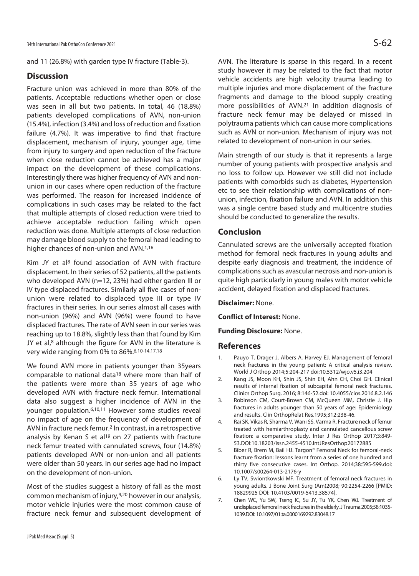and 11 (26.8%) with garden type IV fracture (Table-3).

# **Discussion**

Fracture union was achieved in more than 80% of the patients. Acceptable reductions whether open or close was seen in all but two patients. In total, 46 (18.8%) patients developed complications of AVN, non-union (15.4%), infection (3.4%) and loss of reduction and fixation failure (4.7%). It was imperative to find that fracture displacement, mechanism of injury, younger age, time from injury to surgery and open reduction of the fracture when close reduction cannot be achieved has a major impact on the development of these complications. Interestingly there was higher frequency of AVN and nonunion in our cases where open reduction of the fracture was performed. The reason for increased incidence of complications in such cases may be related to the fact that multiple attempts of closed reduction were tried to achieve acceptable reduction failing which open reduction was done. Multiple attempts of close reduction may damage blood supply to the femoral head leading to higher chances of non-union and AVN.<sup>1,16</sup>

Kim JY et al<sup>8</sup> found association of AVN with fracture displacement. In their series of 52 patients, all the patients who developed AVN (n=12, 23%) had either garden III or IV type displaced fractures. Similarly all five cases of nonunion were related to displaced type III or type IV fractures in their series. In our series almost all cases with non-union (96%) and AVN (96%) were found to have displaced fractures. The rate of AVN seen in our series was reaching up to 18.8%, slightly less than that found by Kim JY et al, $8$  although the figure for AVN in the literature is very wide ranging from 0% to 86%.6,10-14,17,18

We found AVN more in patients younger than 35years comparable to national data<sup>18</sup> where more than half of the patients were more than 35 years of age who developed AVN with fracture neck femur. International data also suggest a higher incidence of AVN in the younger population.6,10,11 However some studies reveal no impact of age on the frequency of development of AVN in fracture neck femur.2 In contrast, in a retrospective analysis by Kenan S et al<sup>19</sup> on 27 patients with fracture neck femur treated with cannulated screws, four (14.8%) patients developed AVN or non-union and all patients were older than 50 years. In our series age had no impact on the development of non-union.

Most of the studies suggest a history of fall as the most common mechanism of injury,9,20 however in our analysis, motor vehicle injuries were the most common cause of fracture neck femur and subsequent development of AVN. The literature is sparse in this regard. In a recent study however it may be related to the fact that motor vehicle accidents are high velocity trauma leading to multiple injuries and more displacement of the fracture fragments and damage to the blood supply creating more possibilities of AVN.21 In addition diagnosis of fracture neck femur may be delayed or missed in polytrauma patients which can cause more complications such as AVN or non-union. Mechanism of injury was not related to development of non-union in our series.

Main strength of our study is that it represents a large number of young patients with prospective analysis and no loss to follow up. However we still did not include patients with comorbids such as diabetes, Hypertension etc to see their relationship with complications of nonunion, infection, fixation failure and AVN. In addition this was a single centre based study and multicentre studies should be conducted to generalize the results.

# **Conclusion**

Cannulated screws are the universally accepted fixation method for femoral neck fractures in young adults and despite early diagnosis and treatment, the incidence of complications such as avascular necrosis and non-union is quite high particularly in young males with motor vehicle accident, delayed fixation and displaced fractures.

**Disclaimer:** None.

**Conflict of Interest:** None.

## **Funding Disclosure:** None.

## **References**

- 1. Pauyo T, Drager J, Albers A, Harvey EJ. Management of femoral neck fractures in the young patient: A critical analysis review. World J Orthop 2014;5:204-217 doi:10.5312/wjo.v5.i3.204
- 2. Kang JS, Moon KH, Shin JS, Shin EH, Ahn CH, Choi GH. Clinical results of internal fixation of subcapital femoral neck fractures. Clinics Orthop Surg. 2016; 8:146-52.doi: 10.4055/cios.2016.8.2.146
- 3. Robinson CM, Court-Brown CM, McQueen MM, Christie J. Hip fractures in adults younger than 50 years of age: Epidemiology and results. Clin OrthopRelat Res.1995;312:238-46.
- 4. Rai SK, Vikas R, Sharma V, Wani SS, Varma R. Fracture neck of femur treated with hemiarthroplasty and cannulated cancellous screw fixation: a comparative study. Inter J Res Orthop 2017;3:849- 53.DOI:10.18203/issn.2455-4510.IntJResOrthop20172885
- 5. Biber R, Brem M, Bail HJ. Targon® Femoral Neck for femoral-neck fracture fixation: lessons learnt from a series of one hundred and thirty five consecutive cases. Int Orthop. 2014;38:595-599.doi: 10.1007/s00264-013-2176-y
- 6. Ly TV, Swiontkowski MF. Treatment of femoral neck fractures in young adults. J Bone Joint Surg (Am)2008; 90:2254-2266 [PMID: 18829925 DOI: 10.4103/0019-5413.38574].
- 7. Chen WC, Yu SW, Tseng IC, Su JY, Tu YK, Chen WJ. Treatment of undisplaced femoral neck fractures in the elderly. J Trauma.2005;58:1035- 1039.DOI: 10.1097/01.ta.0000169292.83048.17